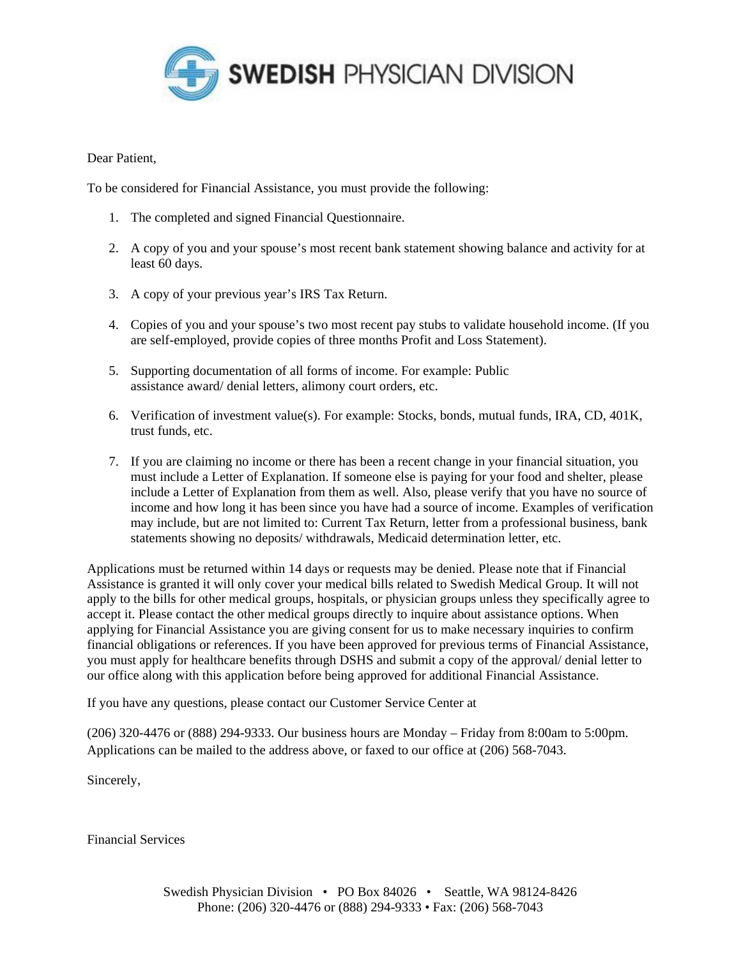

## Dear Patient,

To be considered for Financial Assistance, you must provide the following:

- 1. The completed and signed Financial Questionnaire.
- 2. A copy of you and your spouse's most recent bank statement showing balance and activity for at least 60 days.
- 3. A copy of your previous year's IRS Tax Return.
- 4. Copies of you and your spouse's two most recent pay stubs to validate household income. (If you are self-employed, provide copies of three months Profit and Loss Statement).
- 5. Supporting documentation of all forms of income. For example: Public assistance award/ denial letters, alimony court orders, etc.
- 6. Verification of investment value(s). For example: Stocks, bonds, mutual funds, IRA, CD, 401K, trust funds, etc.
- 7. If you are claiming no income or there has been a recent change in your financial situation, you must include a Letter of Explanation. If someone else is paying for your food and shelter, please include a Letter of Explanation from them as well. Also, please verify that you have no source of income and how long it has been since you have had a source of income. Examples of verification may include, but are not limited to: Current Tax Return, letter from a professional business, bank statements showing no deposits/ withdrawals, Medicaid determination letter, etc.

Applications must be returned within 14 days or requests may be denied. Please note that if Financial Assistance is granted it will only cover your medical bills related to Swedish Medical Group. It will not apply to the bills for other medical groups, hospitals, or physician groups unless they specifically agree to accept it. Please contact the other medical groups directly to inquire about assistance options. When applying for Financial Assistance you are giving consent for us to make necessary inquiries to confirm financial obligations or references. If you have been approved for previous terms of Financial Assistance, you must apply for healthcare benefits through DSHS and submit a copy of the approval/ denial letter to our office along with this application before being approved for additional Financial Assistance.

If you have any questions, please contact our Customer Service Center at

(206) 320-4476 or (888) 294-9333. Our business hours are Monday – Friday from 8:00am to 5:00pm. Applications can be mailed to the address above, or faxed to our office at (206) 568-7043.

Sincerely,

Financial Services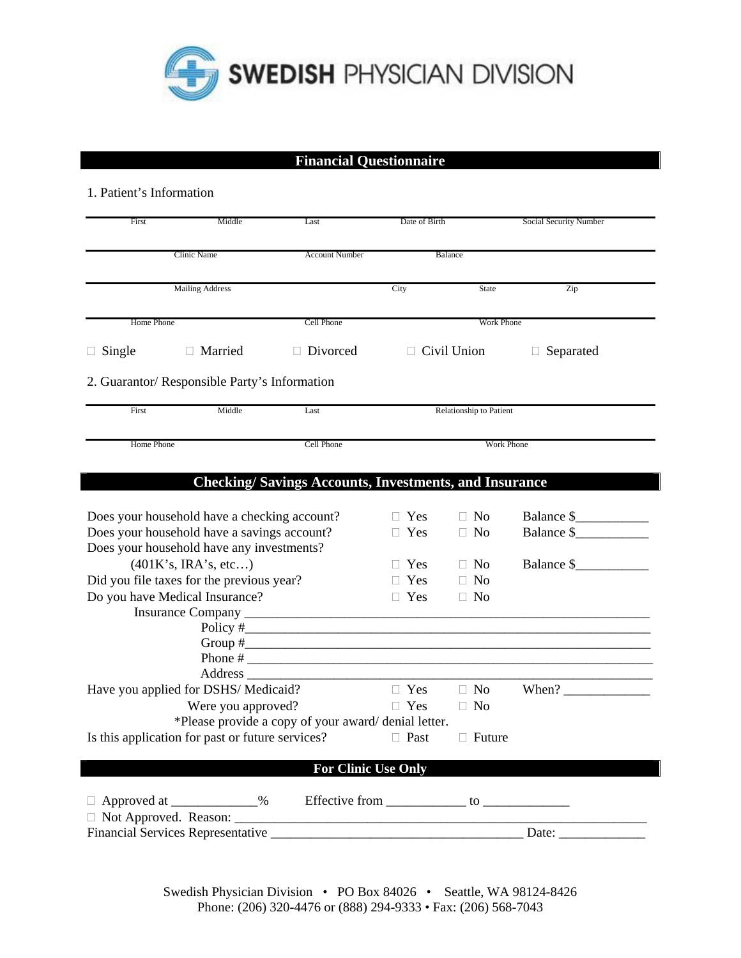

## **Financial Questionnaire**

## 1. Patient's Information

| First                                                                                       | Middle                                           | Last                                                         | Date of Birth              |                                | Social Security Number                                   |  |
|---------------------------------------------------------------------------------------------|--------------------------------------------------|--------------------------------------------------------------|----------------------------|--------------------------------|----------------------------------------------------------|--|
| Clinic Name                                                                                 |                                                  | <b>Account Number</b>                                        |                            | Balance                        |                                                          |  |
|                                                                                             | <b>Mailing Address</b>                           |                                                              | City                       | State                          | Zip                                                      |  |
|                                                                                             |                                                  |                                                              |                            |                                |                                                          |  |
| Home Phone                                                                                  |                                                  | Cell Phone                                                   |                            | <b>Work Phone</b>              |                                                          |  |
| Single                                                                                      | $\Box$ Married                                   | $\Box$ Divorced                                              | $\Box$ Civil Union         |                                | Separated<br>$\Box$                                      |  |
|                                                                                             | 2. Guarantor/ Responsible Party's Information    |                                                              |                            |                                |                                                          |  |
| First                                                                                       | Middle                                           | Last                                                         | Relationship to Patient    |                                |                                                          |  |
|                                                                                             | Home Phone                                       |                                                              |                            | Work Phone                     |                                                          |  |
|                                                                                             |                                                  | <b>Checking/Savings Accounts, Investments, and Insurance</b> |                            |                                |                                                          |  |
|                                                                                             |                                                  |                                                              | $\Box$ Yes                 | $\Box$ No                      | Balance \$                                               |  |
| Does your household have a checking account?<br>Does your household have a savings account? |                                                  |                                                              | Yes                        | $\Box$ No                      | Balance \$                                               |  |
| Does your household have any investments?                                                   |                                                  |                                                              |                            |                                |                                                          |  |
| (401K's, IRA's, etc)                                                                        |                                                  |                                                              | $\Box$ Yes                 | $\Box$ No                      | Balance \$                                               |  |
| Did you file taxes for the previous year?                                                   |                                                  |                                                              | Yes                        | N <sub>o</sub><br>$\Box$       |                                                          |  |
|                                                                                             | Do you have Medical Insurance?                   |                                                              | $\Box$ Yes                 | $\Box$ No                      |                                                          |  |
|                                                                                             |                                                  |                                                              |                            |                                |                                                          |  |
|                                                                                             |                                                  | Policy $\#$                                                  |                            |                                |                                                          |  |
|                                                                                             |                                                  | Group $\#$                                                   |                            |                                |                                                          |  |
|                                                                                             |                                                  |                                                              |                            |                                |                                                          |  |
|                                                                                             |                                                  |                                                              |                            |                                |                                                          |  |
|                                                                                             | Have you applied for DSHS/Medicaid?              |                                                              | $\Box$ Yes<br>$\Box$ Yes   | $\Box$ No                      | When? $\frac{1}{\sqrt{1-\frac{1}{2}} \cdot \frac{1}{2}}$ |  |
|                                                                                             | Were you approved?                               |                                                              |                            | $\Box$ No                      |                                                          |  |
|                                                                                             |                                                  | *Please provide a copy of your award/denial letter.          |                            |                                |                                                          |  |
|                                                                                             | Is this application for past or future services? |                                                              | $\Box$ Past                | $\Box$ Future                  |                                                          |  |
|                                                                                             |                                                  |                                                              | <b>For Clinic Use Only</b> |                                |                                                          |  |
|                                                                                             | $\Box$ Approved at $\Box$ 9%                     |                                                              |                            |                                |                                                          |  |
|                                                                                             | □ Not Approved. Reason: _______                  |                                                              |                            |                                |                                                          |  |
|                                                                                             | <b>Financial Services Representative</b>         |                                                              |                            | Date: $\overline{\phantom{a}}$ |                                                          |  |

Swedish Physician Division • PO Box 84026 • Seattle, WA 98124-8426 Phone: (206) 320-4476 or (888) 294-9333 • Fax: (206) 568-7043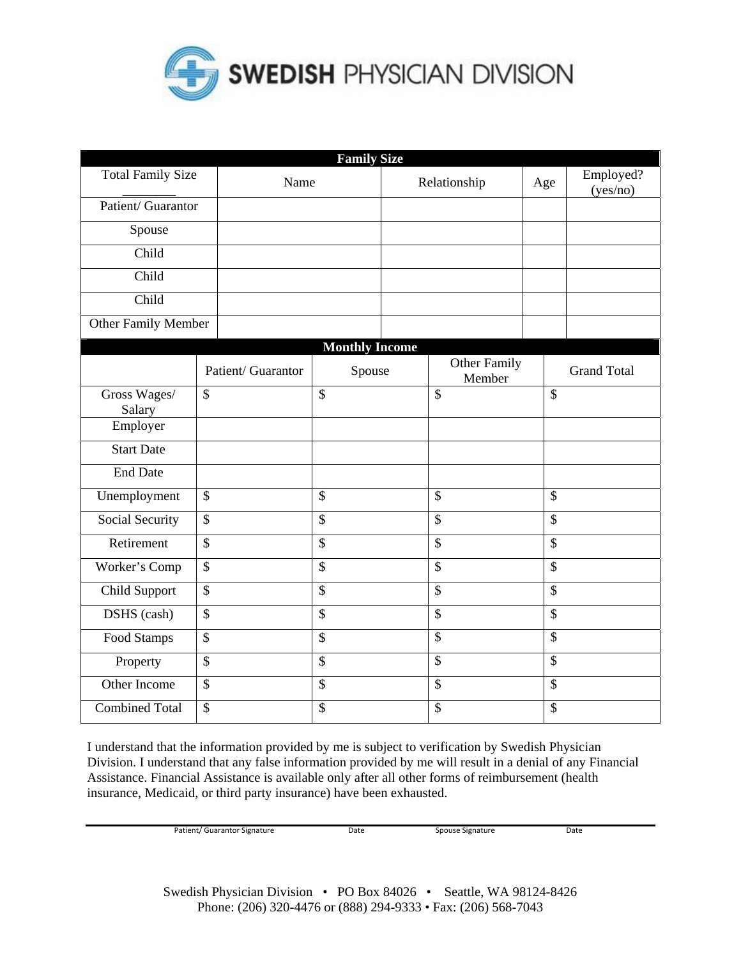

|                          |                    | <b>Family Size</b>    |                           |                           |                       |
|--------------------------|--------------------|-----------------------|---------------------------|---------------------------|-----------------------|
| <b>Total Family Size</b> | Name               |                       | Relationship              | Age                       | Employed?<br>(yes/no) |
| Patient/ Guarantor       |                    |                       |                           |                           |                       |
| Spouse                   |                    |                       |                           |                           |                       |
| Child                    |                    |                       |                           |                           |                       |
| Child                    |                    |                       |                           |                           |                       |
| Child                    |                    |                       |                           |                           |                       |
| Other Family Member      |                    |                       |                           |                           |                       |
|                          |                    | <b>Monthly Income</b> |                           |                           |                       |
|                          | Patient/ Guarantor | Spouse                | Other Family<br>Member    |                           | <b>Grand Total</b>    |
| Gross Wages/<br>Salary   | \$                 | \$                    | \$                        | $\mathcal{S}$             |                       |
| Employer                 |                    |                       |                           |                           |                       |
| <b>Start Date</b>        |                    |                       |                           |                           |                       |
| <b>End Date</b>          |                    |                       |                           |                           |                       |
| Unemployment             | \$                 | $\mathbb{S}$          | \$                        | $\mathcal{S}$             |                       |
| Social Security          | \$                 | \$                    | $\boldsymbol{\mathsf{S}}$ | $\overline{\$}$           |                       |
| Retirement               | $\mathsf{\$}$      | \$                    | $\overline{\$}$           | $\boldsymbol{\mathsf{S}}$ |                       |
| Worker's Comp            | $\mathsf{\$}$      | \$                    | \$                        | $\boldsymbol{\mathsf{S}}$ |                       |
| Child Support            | \$                 | \$                    | $\overline{\$}$           | $\boldsymbol{\mathsf{S}}$ |                       |
| DSHS (cash)              | $\mathsf{\$}$      | $\mathbb{S}$          | \$                        | $\mathcal{S}$             |                       |
| Food Stamps              | $\mathcal{S}$      | $\mathcal{S}$         | \$                        | $\mathcal{S}$             |                       |
| Property                 | \$                 | $\mathbb{S}$          | \$                        | $\mathcal{S}$             |                       |
| Other Income             | $\mathcal{S}$      | $\mathcal{S}$         | $\mathbb{S}$              | $\mathcal{S}$             |                       |
| <b>Combined Total</b>    | \$                 | \$                    | \$                        | $\mathcal{S}$             |                       |

I understand that the information provided by me is subject to verification by Swedish Physician Division. I understand that any false information provided by me will result in a denial of any Financial Assistance. Financial Assistance is available only after all other forms of reimbursement (health insurance, Medicaid, or third party insurance) have been exhausted.

Patient/ Guarantor Signature Date Spouse Signature Date